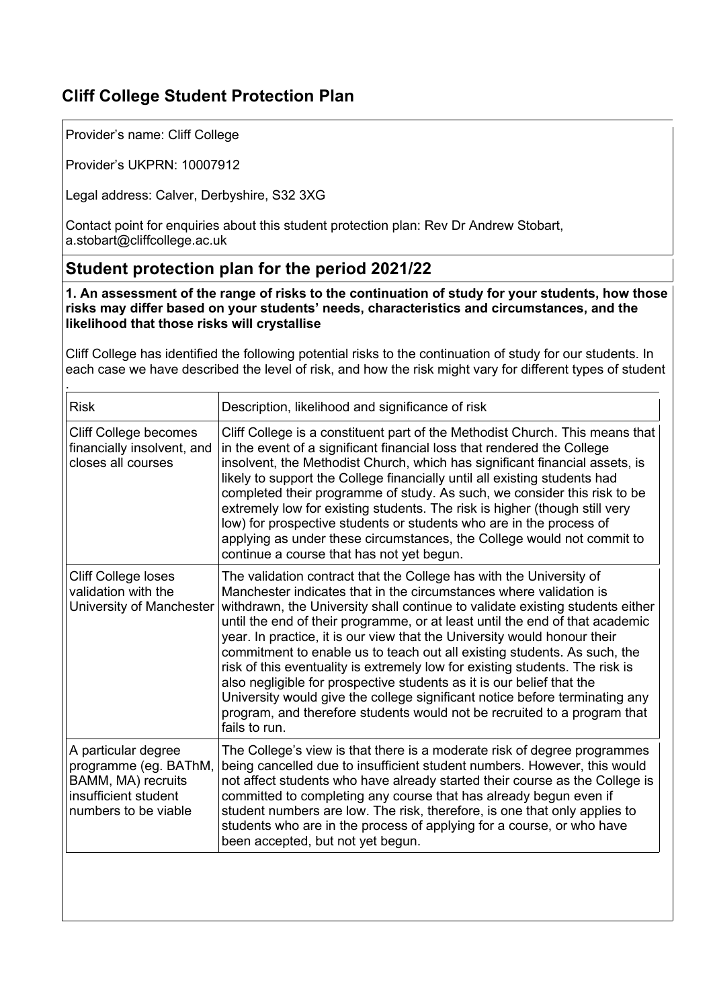# **Cliff College Student Protection Plan**

Provider's name: Cliff College

Provider's UKPRN: 10007912

Legal address: Calver, Derbyshire, S32 3XG

Contact point for enquiries about this student protection plan: Rev Dr Andrew Stobart, a.stobart@cliffcollege.ac.uk

# **Student protection plan for the period 2021/22**

**1. An assessment of the range of risks to the continuation of study for your students, how those risks may differ based on your students' needs, characteristics and circumstances, and the likelihood that those risks will crystallise**

Cliff College has identified the following potential risks to the continuation of study for our students. In each case we have described the level of risk, and how the risk might vary for different types of student

| <b>Risk</b>                                                                                                        | Description, likelihood and significance of risk                                                                                                                                                                                                                                                                                                                                                                                                                                                                                                                                                                                                                                                                                                                                                        |
|--------------------------------------------------------------------------------------------------------------------|---------------------------------------------------------------------------------------------------------------------------------------------------------------------------------------------------------------------------------------------------------------------------------------------------------------------------------------------------------------------------------------------------------------------------------------------------------------------------------------------------------------------------------------------------------------------------------------------------------------------------------------------------------------------------------------------------------------------------------------------------------------------------------------------------------|
| Cliff College becomes<br>financially insolvent, and<br>closes all courses                                          | Cliff College is a constituent part of the Methodist Church. This means that<br>in the event of a significant financial loss that rendered the College<br>insolvent, the Methodist Church, which has significant financial assets, is<br>likely to support the College financially until all existing students had<br>completed their programme of study. As such, we consider this risk to be<br>extremely low for existing students. The risk is higher (though still very<br>low) for prospective students or students who are in the process of<br>applying as under these circumstances, the College would not commit to<br>continue a course that has not yet begun.                                                                                                                              |
| Cliff College loses<br>validation with the<br>University of Manchester                                             | The validation contract that the College has with the University of<br>Manchester indicates that in the circumstances where validation is<br>withdrawn, the University shall continue to validate existing students either<br>until the end of their programme, or at least until the end of that academic<br>year. In practice, it is our view that the University would honour their<br>commitment to enable us to teach out all existing students. As such, the<br>risk of this eventuality is extremely low for existing students. The risk is<br>also negligible for prospective students as it is our belief that the<br>University would give the college significant notice before terminating any<br>program, and therefore students would not be recruited to a program that<br>fails to run. |
| A particular degree<br>programme (eg. BAThM,<br>BAMM, MA) recruits<br>insufficient student<br>numbers to be viable | The College's view is that there is a moderate risk of degree programmes<br>being cancelled due to insufficient student numbers. However, this would<br>not affect students who have already started their course as the College is<br>committed to completing any course that has already begun even if<br>student numbers are low. The risk, therefore, is one that only applies to<br>students who are in the process of applying for a course, or who have<br>been accepted, but not yet begun.                                                                                                                                                                                                                                                                                                     |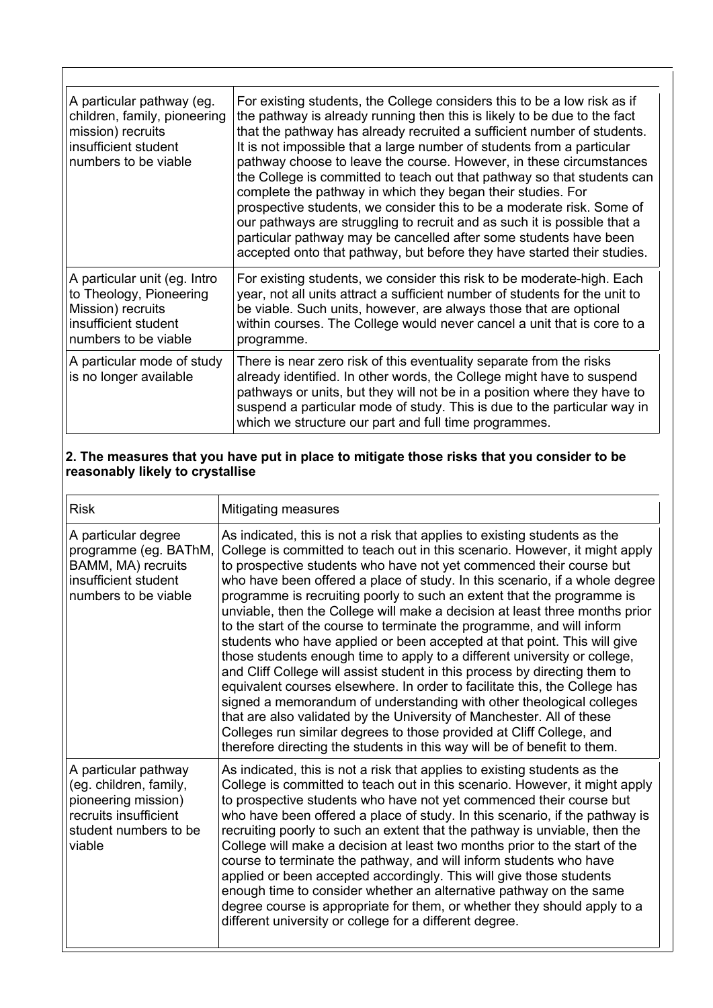| A particular pathway (eg.<br>children, family, pioneering<br>mission) recruits<br>insufficient student<br>numbers to be viable | For existing students, the College considers this to be a low risk as if<br>the pathway is already running then this is likely to be due to the fact<br>that the pathway has already recruited a sufficient number of students.<br>It is not impossible that a large number of students from a particular<br>pathway choose to leave the course. However, in these circumstances<br>the College is committed to teach out that pathway so that students can<br>complete the pathway in which they began their studies. For<br>prospective students, we consider this to be a moderate risk. Some of<br>our pathways are struggling to recruit and as such it is possible that a<br>particular pathway may be cancelled after some students have been<br>accepted onto that pathway, but before they have started their studies. |
|--------------------------------------------------------------------------------------------------------------------------------|---------------------------------------------------------------------------------------------------------------------------------------------------------------------------------------------------------------------------------------------------------------------------------------------------------------------------------------------------------------------------------------------------------------------------------------------------------------------------------------------------------------------------------------------------------------------------------------------------------------------------------------------------------------------------------------------------------------------------------------------------------------------------------------------------------------------------------|
| A particular unit (eg. Intro<br>to Theology, Pioneering<br>Mission) recruits<br>insufficient student<br>numbers to be viable   | For existing students, we consider this risk to be moderate-high. Each<br>year, not all units attract a sufficient number of students for the unit to<br>be viable. Such units, however, are always those that are optional<br>within courses. The College would never cancel a unit that is core to a<br>programme.                                                                                                                                                                                                                                                                                                                                                                                                                                                                                                            |
| A particular mode of study<br>is no longer available                                                                           | There is near zero risk of this eventuality separate from the risks<br>already identified. In other words, the College might have to suspend<br>pathways or units, but they will not be in a position where they have to<br>suspend a particular mode of study. This is due to the particular way in<br>which we structure our part and full time programmes.                                                                                                                                                                                                                                                                                                                                                                                                                                                                   |

#### **2. The measures that you have put in place to mitigate those risks that you consider to be reasonably likely to crystallise**

| <b>Risk</b>                                                                                                                       | Mitigating measures                                                                                                                                                                                                                                                                                                                                                                                                                                                                                                                                                                                                                                                                                                                                                                                                                                                                                                                                                                                                                                                                                                                                                         |
|-----------------------------------------------------------------------------------------------------------------------------------|-----------------------------------------------------------------------------------------------------------------------------------------------------------------------------------------------------------------------------------------------------------------------------------------------------------------------------------------------------------------------------------------------------------------------------------------------------------------------------------------------------------------------------------------------------------------------------------------------------------------------------------------------------------------------------------------------------------------------------------------------------------------------------------------------------------------------------------------------------------------------------------------------------------------------------------------------------------------------------------------------------------------------------------------------------------------------------------------------------------------------------------------------------------------------------|
| A particular degree<br>programme (eg. BAThM,<br>BAMM, MA) recruits<br>insufficient student<br>numbers to be viable                | As indicated, this is not a risk that applies to existing students as the<br>College is committed to teach out in this scenario. However, it might apply<br>to prospective students who have not yet commenced their course but<br>who have been offered a place of study. In this scenario, if a whole degree<br>programme is recruiting poorly to such an extent that the programme is<br>unviable, then the College will make a decision at least three months prior<br>to the start of the course to terminate the programme, and will inform<br>students who have applied or been accepted at that point. This will give<br>those students enough time to apply to a different university or college,<br>and Cliff College will assist student in this process by directing them to<br>equivalent courses elsewhere. In order to facilitate this, the College has<br>signed a memorandum of understanding with other theological colleges<br>that are also validated by the University of Manchester. All of these<br>Colleges run similar degrees to those provided at Cliff College, and<br>therefore directing the students in this way will be of benefit to them. |
| A particular pathway<br>(eg. children, family,<br>pioneering mission)<br>recruits insufficient<br>student numbers to be<br>viable | As indicated, this is not a risk that applies to existing students as the<br>College is committed to teach out in this scenario. However, it might apply<br>to prospective students who have not yet commenced their course but<br>who have been offered a place of study. In this scenario, if the pathway is<br>recruiting poorly to such an extent that the pathway is unviable, then the<br>College will make a decision at least two months prior to the start of the<br>course to terminate the pathway, and will inform students who have<br>applied or been accepted accordingly. This will give those students<br>enough time to consider whether an alternative pathway on the same<br>degree course is appropriate for them, or whether they should apply to a<br>different university or college for a different degree.                                                                                                                                                                                                                                                                                                                                        |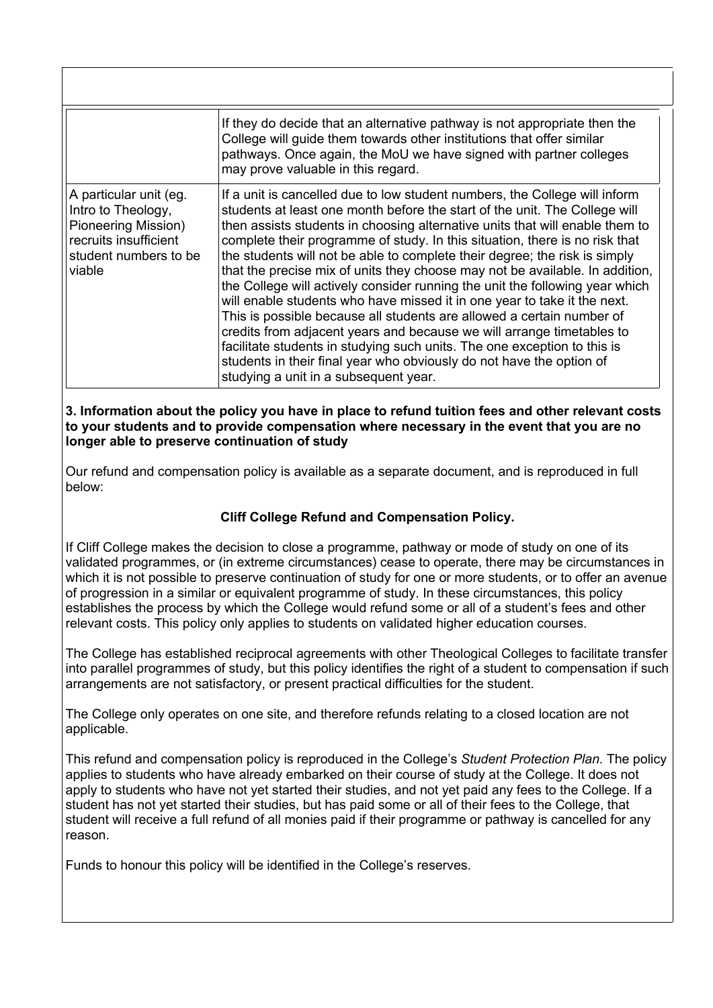|                                                                                                                                 | If they do decide that an alternative pathway is not appropriate then the<br>College will guide them towards other institutions that offer similar<br>pathways. Once again, the MoU we have signed with partner colleges<br>may prove valuable in this regard.                                                                                                                                                                                                                                                                                                                                                                                                                                                                                                                                                                                                                                                                                                                                   |
|---------------------------------------------------------------------------------------------------------------------------------|--------------------------------------------------------------------------------------------------------------------------------------------------------------------------------------------------------------------------------------------------------------------------------------------------------------------------------------------------------------------------------------------------------------------------------------------------------------------------------------------------------------------------------------------------------------------------------------------------------------------------------------------------------------------------------------------------------------------------------------------------------------------------------------------------------------------------------------------------------------------------------------------------------------------------------------------------------------------------------------------------|
| A particular unit (eg.<br>Intro to Theology,<br>Pioneering Mission)<br>recruits insufficient<br>student numbers to be<br>viable | If a unit is cancelled due to low student numbers, the College will inform<br>students at least one month before the start of the unit. The College will<br>then assists students in choosing alternative units that will enable them to<br>complete their programme of study. In this situation, there is no risk that<br>the students will not be able to complete their degree; the risk is simply<br>that the precise mix of units they choose may not be available. In addition,<br>the College will actively consider running the unit the following year which<br>will enable students who have missed it in one year to take it the next.<br>This is possible because all students are allowed a certain number of<br>credits from adjacent years and because we will arrange timetables to<br>facilitate students in studying such units. The one exception to this is<br>students in their final year who obviously do not have the option of<br>studying a unit in a subsequent year. |

**3. Information about the policy you have in place to refund tuition fees and other relevant costs to your students and to provide compensation where necessary in the event that you are no longer able to preserve continuation of study**

Our refund and compensation policy is available as a separate document, and is reproduced in full below:

# **Cliff College Refund and Compensation Policy.**

If Cliff College makes the decision to close a programme, pathway or mode of study on one of its validated programmes, or (in extreme circumstances) cease to operate, there may be circumstances in which it is not possible to preserve continuation of study for one or more students, or to offer an avenue of progression in a similar or equivalent programme of study. In these circumstances, this policy establishes the process by which the College would refund some or all of a student's fees and other relevant costs. This policy only applies to students on validated higher education courses.

The College has established reciprocal agreements with other Theological Colleges to facilitate transfer into parallel programmes of study, but this policy identifies the right of a student to compensation if such arrangements are not satisfactory, or present practical difficulties for the student.

The College only operates on one site, and therefore refunds relating to a closed location are not applicable.

This refund and compensation policy is reproduced in the College's *Student Protection Plan*. The policy applies to students who have already embarked on their course of study at the College. It does not apply to students who have not yet started their studies, and not yet paid any fees to the College. If a student has not yet started their studies, but has paid some or all of their fees to the College, that student will receive a full refund of all monies paid if their programme or pathway is cancelled for any reason.

Funds to honour this policy will be identified in the College's reserves.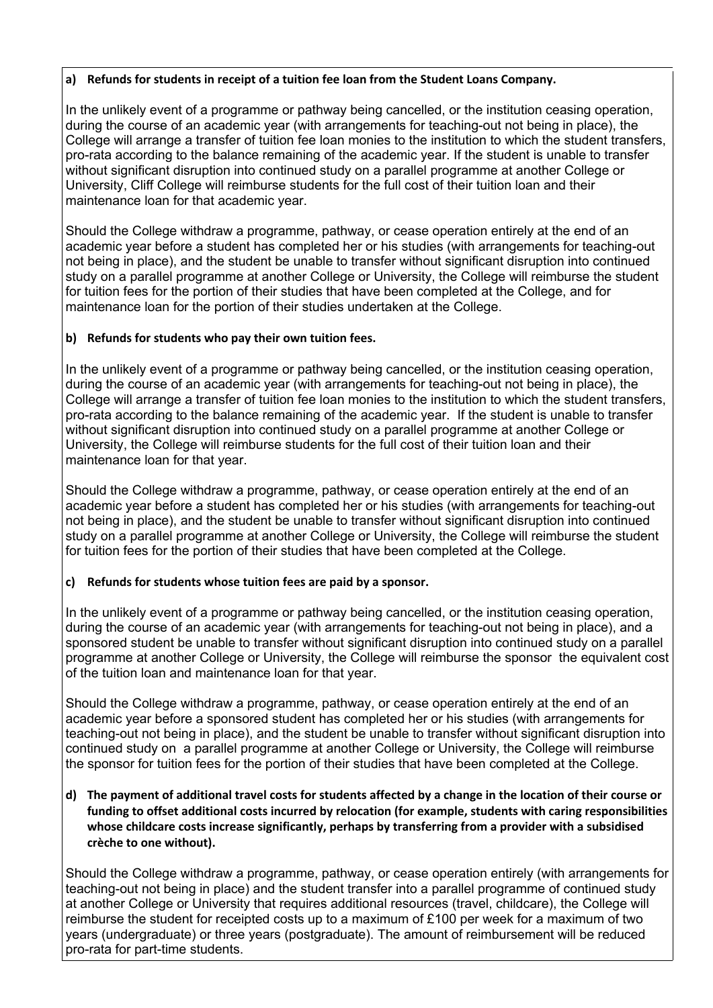#### **a) Refunds for students in receipt of a tuition fee loan from the Student Loans Company.**

In the unlikely event of a programme or pathway being cancelled, or the institution ceasing operation, during the course of an academic year (with arrangements for teaching-out not being in place), the College will arrange a transfer of tuition fee loan monies to the institution to which the student transfers, pro-rata according to the balance remaining of the academic year. If the student is unable to transfer without significant disruption into continued study on a parallel programme at another College or University, Cliff College will reimburse students for the full cost of their tuition loan and their maintenance loan for that academic year.

Should the College withdraw a programme, pathway, or cease operation entirely at the end of an academic year before a student has completed her or his studies (with arrangements for teaching-out not being in place), and the student be unable to transfer without significant disruption into continued study on a parallel programme at another College or University, the College will reimburse the student for tuition fees for the portion of their studies that have been completed at the College, and for maintenance loan for the portion of their studies undertaken at the College.

### **b) Refunds for students who pay their own tuition fees.**

In the unlikely event of a programme or pathway being cancelled, or the institution ceasing operation, during the course of an academic year (with arrangements for teaching-out not being in place), the College will arrange a transfer of tuition fee loan monies to the institution to which the student transfers, pro-rata according to the balance remaining of the academic year. If the student is unable to transfer without significant disruption into continued study on a parallel programme at another College or University, the College will reimburse students for the full cost of their tuition loan and their maintenance loan for that year.

Should the College withdraw a programme, pathway, or cease operation entirely at the end of an academic year before a student has completed her or his studies (with arrangements for teaching-out not being in place), and the student be unable to transfer without significant disruption into continued study on a parallel programme at another College or University, the College will reimburse the student for tuition fees for the portion of their studies that have been completed at the College.

# **c) Refunds for students whose tuition fees are paid by a sponsor.**

In the unlikely event of a programme or pathway being cancelled, or the institution ceasing operation, during the course of an academic year (with arrangements for teaching-out not being in place), and a sponsored student be unable to transfer without significant disruption into continued study on a parallel programme at another College or University, the College will reimburse the sponsor the equivalent cost of the tuition loan and maintenance loan for that year.

Should the College withdraw a programme, pathway, or cease operation entirely at the end of an academic year before a sponsored student has completed her or his studies (with arrangements for teaching-out not being in place), and the student be unable to transfer without significant disruption into continued study on a parallel programme at another College or University, the College will reimburse the sponsor for tuition fees for the portion of their studies that have been completed at the College.

#### **d) The payment of additional travel costs for students affected by a change in the location of their course or funding to offset additional costs incurred by relocation (for example, students with caring responsibilities whose childcare costs increase significantly, perhaps by transferring from a provider with a subsidised crèche to one without).**

Should the College withdraw a programme, pathway, or cease operation entirely (with arrangements for teaching-out not being in place) and the student transfer into a parallel programme of continued study at another College or University that requires additional resources (travel, childcare), the College will reimburse the student for receipted costs up to a maximum of £100 per week for a maximum of two years (undergraduate) or three years (postgraduate). The amount of reimbursement will be reduced pro-rata for part-time students.